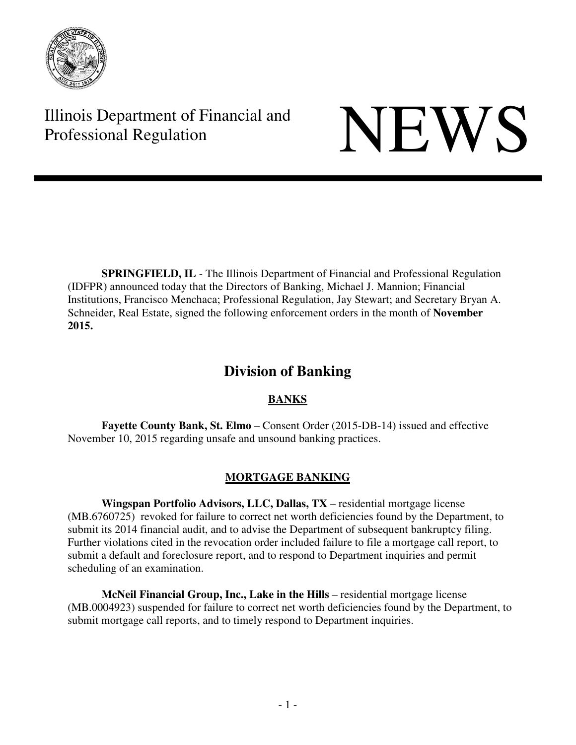

Illinois Department of Financial and Illinois Department of Financial and<br>Professional Regulation

**SPRINGFIELD, IL** - The Illinois Department of Financial and Professional Regulation (IDFPR) announced today that the Directors of Banking, Michael J. Mannion; Financial Institutions, Francisco Menchaca; Professional Regulation, Jay Stewart; and Secretary Bryan A. Schneider, Real Estate, signed the following enforcement orders in the month of **November 2015.** 

# **Division of Banking**

# **BANKS**

**Fayette County Bank, St. Elmo** – Consent Order (2015-DB-14) issued and effective November 10, 2015 regarding unsafe and unsound banking practices.

# **MORTGAGE BANKING**

**Wingspan Portfolio Advisors, LLC, Dallas, TX** – residential mortgage license (MB.6760725) revoked for failure to correct net worth deficiencies found by the Department, to submit its 2014 financial audit, and to advise the Department of subsequent bankruptcy filing. Further violations cited in the revocation order included failure to file a mortgage call report, to submit a default and foreclosure report, and to respond to Department inquiries and permit scheduling of an examination.

**McNeil Financial Group, Inc., Lake in the Hills** – residential mortgage license (MB.0004923) suspended for failure to correct net worth deficiencies found by the Department, to submit mortgage call reports, and to timely respond to Department inquiries.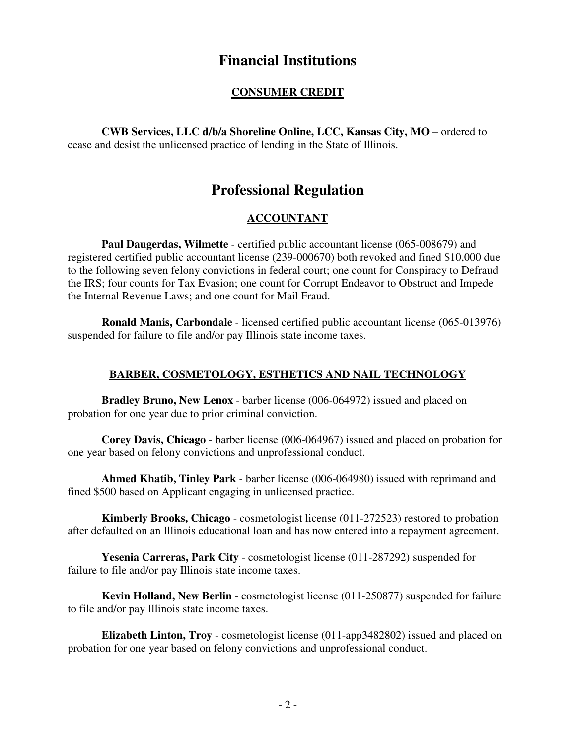# **Financial Institutions**

### **CONSUMER CREDIT**

**CWB Services, LLC d/b/a Shoreline Online, LCC, Kansas City, MO** – ordered to cease and desist the unlicensed practice of lending in the State of Illinois.

# **Professional Regulation**

# **ACCOUNTANT**

**Paul Daugerdas, Wilmette** - certified public accountant license (065-008679) and registered certified public accountant license (239-000670) both revoked and fined \$10,000 due to the following seven felony convictions in federal court; one count for Conspiracy to Defraud the IRS; four counts for Tax Evasion; one count for Corrupt Endeavor to Obstruct and Impede the Internal Revenue Laws; and one count for Mail Fraud.

**Ronald Manis, Carbondale** - licensed certified public accountant license (065-013976) suspended for failure to file and/or pay Illinois state income taxes.

#### **BARBER, COSMETOLOGY, ESTHETICS AND NAIL TECHNOLOGY**

**Bradley Bruno, New Lenox** - barber license (006-064972) issued and placed on probation for one year due to prior criminal conviction.

**Corey Davis, Chicago** - barber license (006-064967) issued and placed on probation for one year based on felony convictions and unprofessional conduct.

**Ahmed Khatib, Tinley Park** - barber license (006-064980) issued with reprimand and fined \$500 based on Applicant engaging in unlicensed practice.

**Kimberly Brooks, Chicago** - cosmetologist license (011-272523) restored to probation after defaulted on an Illinois educational loan and has now entered into a repayment agreement.

**Yesenia Carreras, Park City** - cosmetologist license (011-287292) suspended for failure to file and/or pay Illinois state income taxes.

**Kevin Holland, New Berlin** - cosmetologist license (011-250877) suspended for failure to file and/or pay Illinois state income taxes.

**Elizabeth Linton, Troy** - cosmetologist license (011-app3482802) issued and placed on probation for one year based on felony convictions and unprofessional conduct.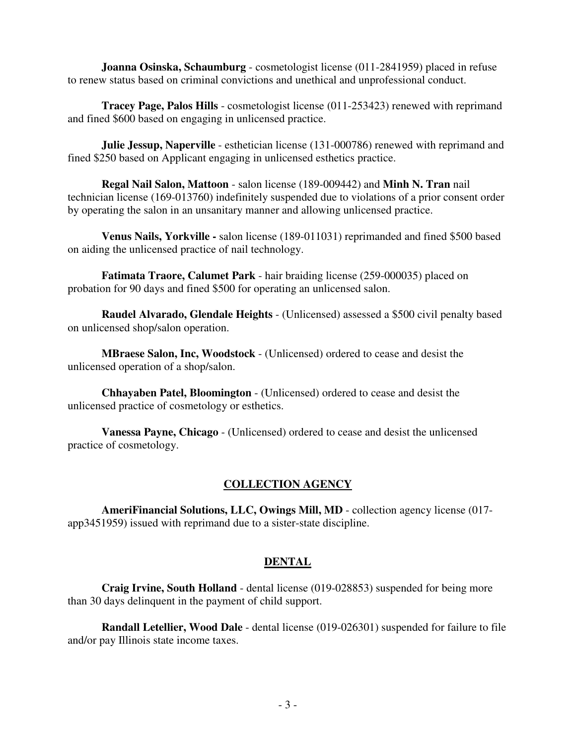**Joanna Osinska, Schaumburg** - cosmetologist license (011-2841959) placed in refuse to renew status based on criminal convictions and unethical and unprofessional conduct.

**Tracey Page, Palos Hills** - cosmetologist license (011-253423) renewed with reprimand and fined \$600 based on engaging in unlicensed practice.

**Julie Jessup, Naperville** - esthetician license (131-000786) renewed with reprimand and fined \$250 based on Applicant engaging in unlicensed esthetics practice.

**Regal Nail Salon, Mattoon** - salon license (189-009442) and **Minh N. Tran** nail technician license (169-013760) indefinitely suspended due to violations of a prior consent order by operating the salon in an unsanitary manner and allowing unlicensed practice.

**Venus Nails, Yorkville -** salon license (189-011031) reprimanded and fined \$500 based on aiding the unlicensed practice of nail technology.

**Fatimata Traore, Calumet Park** - hair braiding license (259-000035) placed on probation for 90 days and fined \$500 for operating an unlicensed salon.

**Raudel Alvarado, Glendale Heights** - (Unlicensed) assessed a \$500 civil penalty based on unlicensed shop/salon operation.

**MBraese Salon, Inc, Woodstock** - (Unlicensed) ordered to cease and desist the unlicensed operation of a shop/salon.

**Chhayaben Patel, Bloomington** - (Unlicensed) ordered to cease and desist the unlicensed practice of cosmetology or esthetics.

**Vanessa Payne, Chicago** - (Unlicensed) ordered to cease and desist the unlicensed practice of cosmetology.

# **COLLECTION AGENCY**

**AmeriFinancial Solutions, LLC, Owings Mill, MD** - collection agency license (017 app3451959) issued with reprimand due to a sister-state discipline.

# **DENTAL**

**Craig Irvine, South Holland** - dental license (019-028853) suspended for being more than 30 days delinquent in the payment of child support.

**Randall Letellier, Wood Dale** - dental license (019-026301) suspended for failure to file and/or pay Illinois state income taxes.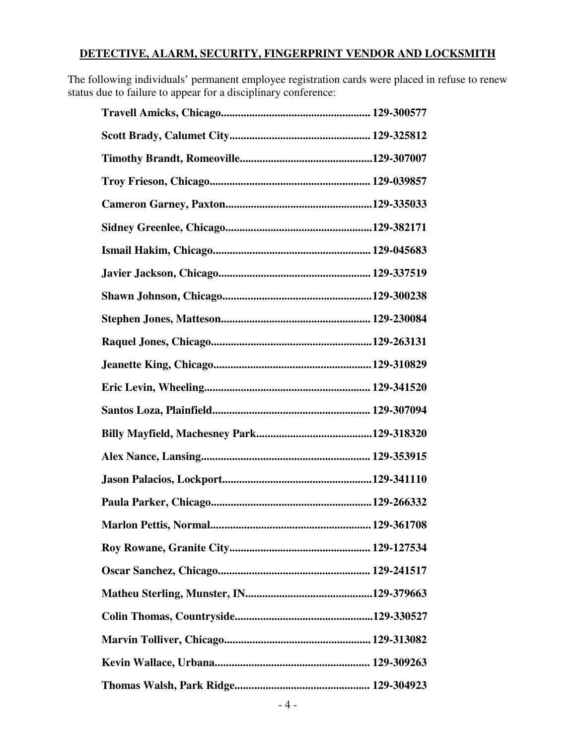# **DETECTIVE, ALARM, SECURITY, FINGERPRINT VENDOR AND LOCKSMITH**

The following individuals' permanent employee registration cards were placed in refuse to renew status due to failure to appear for a disciplinary conference: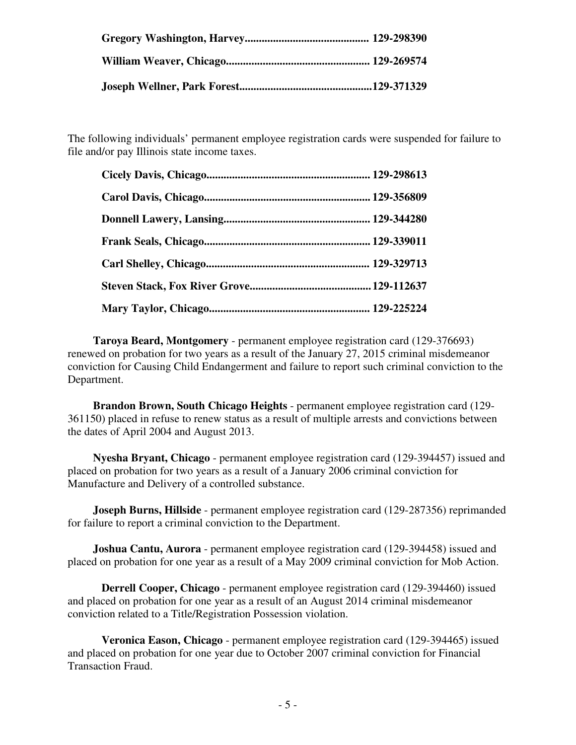The following individuals' permanent employee registration cards were suspended for failure to file and/or pay Illinois state income taxes.

 **Taroya Beard, Montgomery** - permanent employee registration card (129-376693) renewed on probation for two years as a result of the January 27, 2015 criminal misdemeanor conviction for Causing Child Endangerment and failure to report such criminal conviction to the Department.

 **Brandon Brown, South Chicago Heights** - permanent employee registration card (129- 361150) placed in refuse to renew status as a result of multiple arrests and convictions between the dates of April 2004 and August 2013.

 **Nyesha Bryant, Chicago** - permanent employee registration card (129-394457) issued and placed on probation for two years as a result of a January 2006 criminal conviction for Manufacture and Delivery of a controlled substance.

**Joseph Burns, Hillside** - permanent employee registration card (129-287356) reprimanded for failure to report a criminal conviction to the Department.

 **Joshua Cantu, Aurora** - permanent employee registration card (129-394458) issued and placed on probation for one year as a result of a May 2009 criminal conviction for Mob Action.

**Derrell Cooper, Chicago** - permanent employee registration card (129-394460) issued and placed on probation for one year as a result of an August 2014 criminal misdemeanor conviction related to a Title/Registration Possession violation.

**Veronica Eason, Chicago** - permanent employee registration card (129-394465) issued and placed on probation for one year due to October 2007 criminal conviction for Financial Transaction Fraud.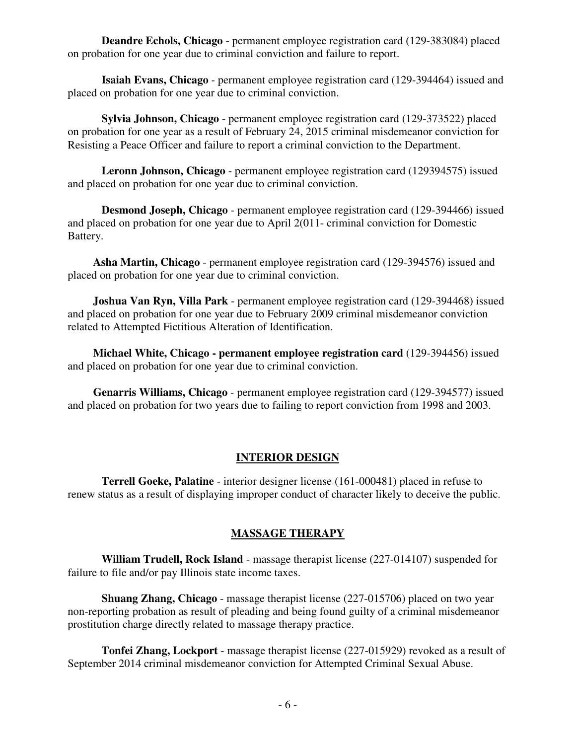**Deandre Echols, Chicago** - permanent employee registration card (129-383084) placed on probation for one year due to criminal conviction and failure to report.

**Isaiah Evans, Chicago** - permanent employee registration card (129-394464) issued and placed on probation for one year due to criminal conviction.

**Sylvia Johnson, Chicago** - permanent employee registration card (129-373522) placed on probation for one year as a result of February 24, 2015 criminal misdemeanor conviction for Resisting a Peace Officer and failure to report a criminal conviction to the Department.

**Leronn Johnson, Chicago** - permanent employee registration card (129394575) issued and placed on probation for one year due to criminal conviction.

 **Desmond Joseph, Chicago** - permanent employee registration card (129-394466) issued and placed on probation for one year due to April 2(011- criminal conviction for Domestic Battery.

 **Asha Martin, Chicago** - permanent employee registration card (129-394576) issued and placed on probation for one year due to criminal conviction.

 **Joshua Van Ryn, Villa Park** - permanent employee registration card (129-394468) issued and placed on probation for one year due to February 2009 criminal misdemeanor conviction related to Attempted Fictitious Alteration of Identification.

 **Michael White, Chicago - permanent employee registration card** (129-394456) issued and placed on probation for one year due to criminal conviction.

 **Genarris Williams, Chicago** - permanent employee registration card (129-394577) issued and placed on probation for two years due to failing to report conviction from 1998 and 2003.

#### **INTERIOR DESIGN**

**Terrell Goeke, Palatine** - interior designer license (161-000481) placed in refuse to renew status as a result of displaying improper conduct of character likely to deceive the public.

#### **MASSAGE THERAPY**

**William Trudell, Rock Island** - massage therapist license (227-014107) suspended for failure to file and/or pay Illinois state income taxes.

**Shuang Zhang, Chicago** - massage therapist license (227-015706) placed on two year non-reporting probation as result of pleading and being found guilty of a criminal misdemeanor prostitution charge directly related to massage therapy practice.

**Tonfei Zhang, Lockport** - massage therapist license (227-015929) revoked as a result of September 2014 criminal misdemeanor conviction for Attempted Criminal Sexual Abuse.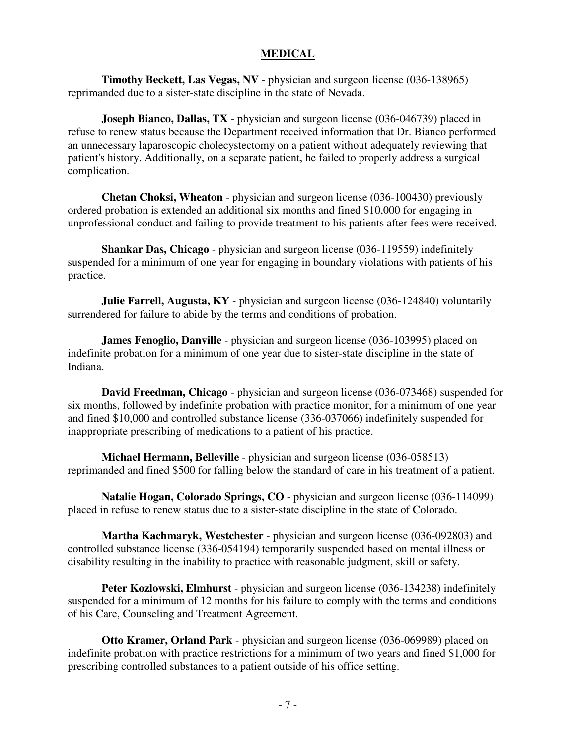#### **MEDICAL**

**Timothy Beckett, Las Vegas, NV** - physician and surgeon license (036-138965) reprimanded due to a sister-state discipline in the state of Nevada.

**Joseph Bianco, Dallas, TX** - physician and surgeon license (036-046739) placed in refuse to renew status because the Department received information that Dr. Bianco performed an unnecessary laparoscopic cholecystectomy on a patient without adequately reviewing that patient's history. Additionally, on a separate patient, he failed to properly address a surgical complication.

**Chetan Choksi, Wheaton** - physician and surgeon license (036-100430) previously ordered probation is extended an additional six months and fined \$10,000 for engaging in unprofessional conduct and failing to provide treatment to his patients after fees were received.

**Shankar Das, Chicago** - physician and surgeon license (036-119559) indefinitely suspended for a minimum of one year for engaging in boundary violations with patients of his practice.

**Julie Farrell, Augusta, KY** - physician and surgeon license (036-124840) voluntarily surrendered for failure to abide by the terms and conditions of probation.

**James Fenoglio, Danville** - physician and surgeon license (036-103995) placed on indefinite probation for a minimum of one year due to sister-state discipline in the state of Indiana.

**David Freedman, Chicago** - physician and surgeon license (036-073468) suspended for six months, followed by indefinite probation with practice monitor, for a minimum of one year and fined \$10,000 and controlled substance license (336-037066) indefinitely suspended for inappropriate prescribing of medications to a patient of his practice.

**Michael Hermann, Belleville** - physician and surgeon license (036-058513) reprimanded and fined \$500 for falling below the standard of care in his treatment of a patient.

**Natalie Hogan, Colorado Springs, CO** - physician and surgeon license (036-114099) placed in refuse to renew status due to a sister-state discipline in the state of Colorado.

**Martha Kachmaryk, Westchester** - physician and surgeon license (036-092803) and controlled substance license (336-054194) temporarily suspended based on mental illness or disability resulting in the inability to practice with reasonable judgment, skill or safety.

**Peter Kozlowski, Elmhurst** - physician and surgeon license (036-134238) indefinitely suspended for a minimum of 12 months for his failure to comply with the terms and conditions of his Care, Counseling and Treatment Agreement.

**Otto Kramer, Orland Park** - physician and surgeon license (036-069989) placed on indefinite probation with practice restrictions for a minimum of two years and fined \$1,000 for prescribing controlled substances to a patient outside of his office setting.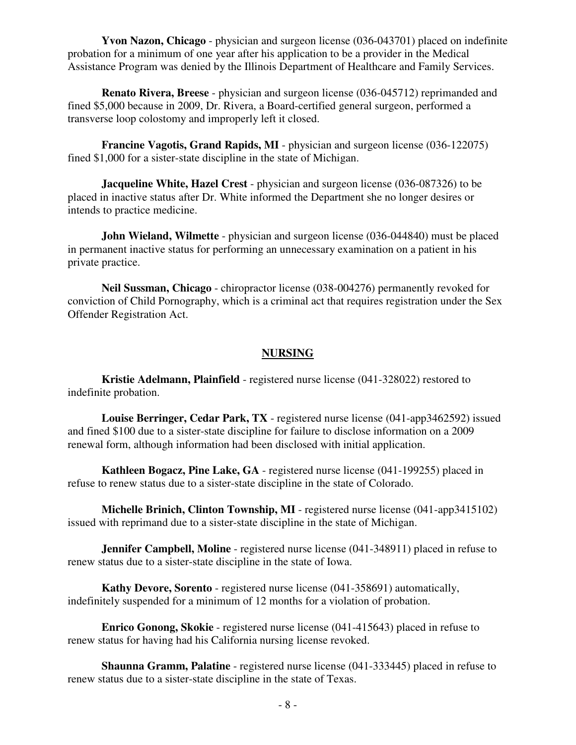**Yvon Nazon, Chicago** - physician and surgeon license (036-043701) placed on indefinite probation for a minimum of one year after his application to be a provider in the Medical Assistance Program was denied by the Illinois Department of Healthcare and Family Services.

**Renato Rivera, Breese** - physician and surgeon license (036-045712) reprimanded and fined \$5,000 because in 2009, Dr. Rivera, a Board-certified general surgeon, performed a transverse loop colostomy and improperly left it closed.

**Francine Vagotis, Grand Rapids, MI** - physician and surgeon license (036-122075) fined \$1,000 for a sister-state discipline in the state of Michigan.

**Jacqueline White, Hazel Crest** - physician and surgeon license (036-087326) to be placed in inactive status after Dr. White informed the Department she no longer desires or intends to practice medicine.

**John Wieland, Wilmette** - physician and surgeon license (036-044840) must be placed in permanent inactive status for performing an unnecessary examination on a patient in his private practice.

**Neil Sussman, Chicago** - chiropractor license (038-004276) permanently revoked for conviction of Child Pornography, which is a criminal act that requires registration under the Sex Offender Registration Act.

#### **NURSING**

**Kristie Adelmann, Plainfield** - registered nurse license (041-328022) restored to indefinite probation.

**Louise Berringer, Cedar Park, TX** - registered nurse license (041-app3462592) issued and fined \$100 due to a sister-state discipline for failure to disclose information on a 2009 renewal form, although information had been disclosed with initial application.

**Kathleen Bogacz, Pine Lake, GA** - registered nurse license (041-199255) placed in refuse to renew status due to a sister-state discipline in the state of Colorado.

**Michelle Brinich, Clinton Township, MI** - registered nurse license (041-app3415102) issued with reprimand due to a sister-state discipline in the state of Michigan.

**Jennifer Campbell, Moline** - registered nurse license (041-348911) placed in refuse to renew status due to a sister-state discipline in the state of Iowa.

**Kathy Devore, Sorento** - registered nurse license (041-358691) automatically, indefinitely suspended for a minimum of 12 months for a violation of probation.

**Enrico Gonong, Skokie** - registered nurse license (041-415643) placed in refuse to renew status for having had his California nursing license revoked.

**Shaunna Gramm, Palatine** - registered nurse license (041-333445) placed in refuse to renew status due to a sister-state discipline in the state of Texas.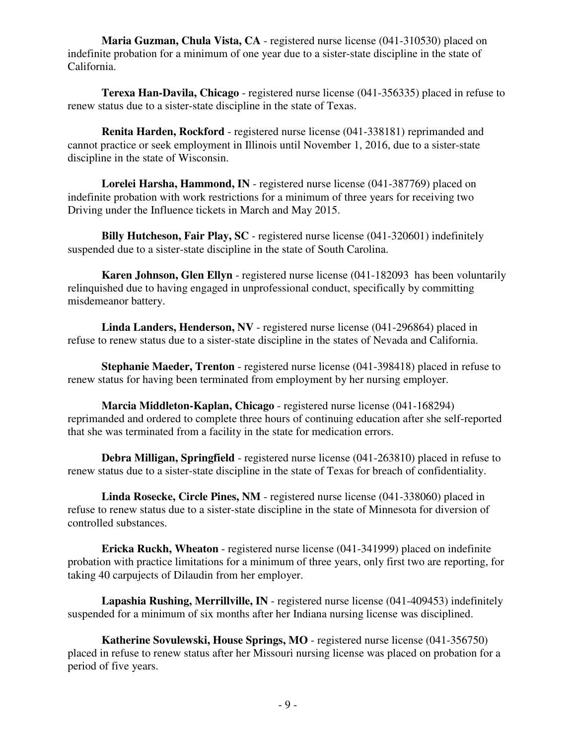**Maria Guzman, Chula Vista, CA** - registered nurse license (041-310530) placed on indefinite probation for a minimum of one year due to a sister-state discipline in the state of California.

**Terexa Han-Davila, Chicago** - registered nurse license (041-356335) placed in refuse to renew status due to a sister-state discipline in the state of Texas.

**Renita Harden, Rockford** - registered nurse license (041-338181) reprimanded and cannot practice or seek employment in Illinois until November 1, 2016, due to a sister-state discipline in the state of Wisconsin.

**Lorelei Harsha, Hammond, IN** - registered nurse license (041-387769) placed on indefinite probation with work restrictions for a minimum of three years for receiving two Driving under the Influence tickets in March and May 2015.

**Billy Hutcheson, Fair Play, SC** - registered nurse license (041-320601) indefinitely suspended due to a sister-state discipline in the state of South Carolina.

**Karen Johnson, Glen Ellyn** - registered nurse license (041-182093 has been voluntarily relinquished due to having engaged in unprofessional conduct, specifically by committing misdemeanor battery.

**Linda Landers, Henderson, NV** - registered nurse license (041-296864) placed in refuse to renew status due to a sister-state discipline in the states of Nevada and California.

**Stephanie Maeder, Trenton** - registered nurse license (041-398418) placed in refuse to renew status for having been terminated from employment by her nursing employer.

**Marcia Middleton-Kaplan, Chicago** - registered nurse license (041-168294) reprimanded and ordered to complete three hours of continuing education after she self-reported that she was terminated from a facility in the state for medication errors.

**Debra Milligan, Springfield** - registered nurse license (041-263810) placed in refuse to renew status due to a sister-state discipline in the state of Texas for breach of confidentiality.

**Linda Rosecke, Circle Pines, NM** - registered nurse license (041-338060) placed in refuse to renew status due to a sister-state discipline in the state of Minnesota for diversion of controlled substances.

**Ericka Ruckh, Wheaton** - registered nurse license (041-341999) placed on indefinite probation with practice limitations for a minimum of three years, only first two are reporting, for taking 40 carpujects of Dilaudin from her employer.

**Lapashia Rushing, Merrillville, IN** - registered nurse license (041-409453) indefinitely suspended for a minimum of six months after her Indiana nursing license was disciplined.

**Katherine Sovulewski, House Springs, MO** - registered nurse license (041-356750) placed in refuse to renew status after her Missouri nursing license was placed on probation for a period of five years.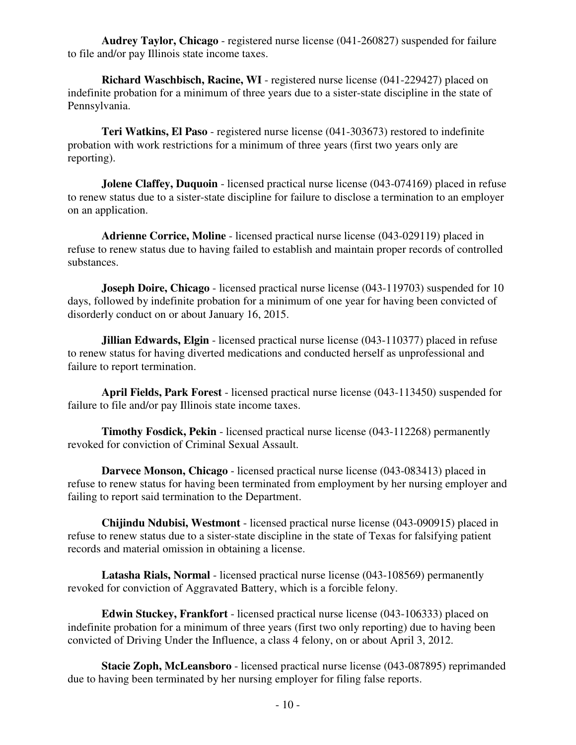**Audrey Taylor, Chicago** - registered nurse license (041-260827) suspended for failure to file and/or pay Illinois state income taxes.

**Richard Waschbisch, Racine, WI** - registered nurse license (041-229427) placed on indefinite probation for a minimum of three years due to a sister-state discipline in the state of Pennsylvania.

**Teri Watkins, El Paso** - registered nurse license (041-303673) restored to indefinite probation with work restrictions for a minimum of three years (first two years only are reporting).

**Jolene Claffey, Duquoin** - licensed practical nurse license (043-074169) placed in refuse to renew status due to a sister-state discipline for failure to disclose a termination to an employer on an application.

**Adrienne Corrice, Moline** - licensed practical nurse license (043-029119) placed in refuse to renew status due to having failed to establish and maintain proper records of controlled substances.

**Joseph Doire, Chicago** - licensed practical nurse license (043-119703) suspended for 10 days, followed by indefinite probation for a minimum of one year for having been convicted of disorderly conduct on or about January 16, 2015.

**Jillian Edwards, Elgin** - licensed practical nurse license (043-110377) placed in refuse to renew status for having diverted medications and conducted herself as unprofessional and failure to report termination.

**April Fields, Park Forest** - licensed practical nurse license (043-113450) suspended for failure to file and/or pay Illinois state income taxes.

**Timothy Fosdick, Pekin** - licensed practical nurse license (043-112268) permanently revoked for conviction of Criminal Sexual Assault.

**Darvece Monson, Chicago** - licensed practical nurse license (043-083413) placed in refuse to renew status for having been terminated from employment by her nursing employer and failing to report said termination to the Department.

**Chijindu Ndubisi, Westmont** - licensed practical nurse license (043-090915) placed in refuse to renew status due to a sister-state discipline in the state of Texas for falsifying patient records and material omission in obtaining a license.

**Latasha Rials, Normal** - licensed practical nurse license (043-108569) permanently revoked for conviction of Aggravated Battery, which is a forcible felony.

**Edwin Stuckey, Frankfort** - licensed practical nurse license (043-106333) placed on indefinite probation for a minimum of three years (first two only reporting) due to having been convicted of Driving Under the Influence, a class 4 felony, on or about April 3, 2012.

**Stacie Zoph, McLeansboro** - licensed practical nurse license (043-087895) reprimanded due to having been terminated by her nursing employer for filing false reports.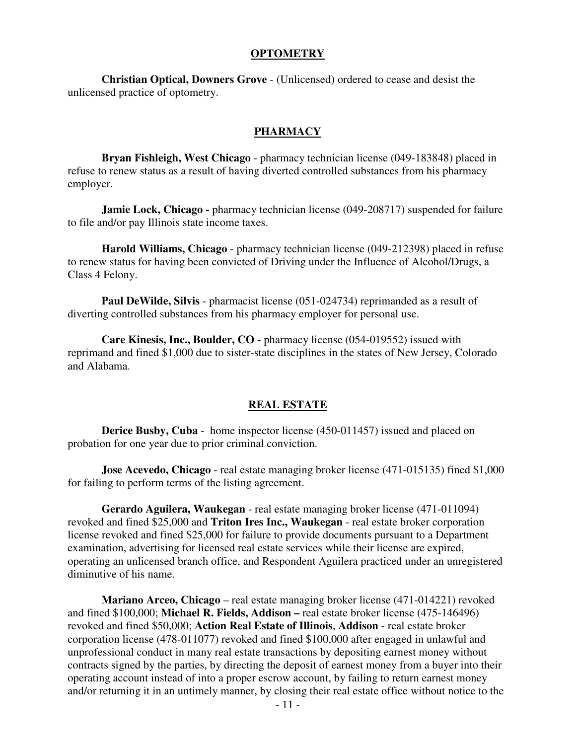#### **OPTOMETRY**

**Christian Optical, Downers Grove** - (Unlicensed) ordered to cease and desist the unlicensed practice of optometry.

#### **PHARMACY**

**Bryan Fishleigh, West Chicago** - pharmacy technician license (049-183848) placed in refuse to renew status as a result of having diverted controlled substances from his pharmacy employer.

**Jamie Lock, Chicago - pharmacy technician license (049-208717) suspended for failure** to file and/or pay Illinois state income taxes.

**Harold Williams, Chicago** - pharmacy technician license (049-212398) placed in refuse to renew status for having been convicted of Driving under the Influence of Alcohol/Drugs, a Class 4 Felony.

**Paul DeWilde, Silvis** - pharmacist license (051-024734) reprimanded as a result of diverting controlled substances from his pharmacy employer for personal use.

**Care Kinesis, Inc., Boulder, CO -** pharmacy license (054-019552) issued with reprimand and fined \$1,000 due to sister-state disciplines in the states of New Jersey, Colorado and Alabama.

#### **REAL ESTATE**

**Derice Busby, Cuba** - home inspector license (450-011457) issued and placed on probation for one year due to prior criminal conviction.

**Jose Acevedo, Chicago** - real estate managing broker license (471-015135) fined \$1,000 for failing to perform terms of the listing agreement.

**Gerardo Aguilera, Waukegan** - real estate managing broker license (471-011094) revoked and fined \$25,000 and **Triton Ires Inc., Waukegan** - real estate broker corporation license revoked and fined \$25,000 for failure to provide documents pursuant to a Department examination, advertising for licensed real estate services while their license are expired, operating an unlicensed branch office, and Respondent Aguilera practiced under an unregistered diminutive of his name.

**Mariano Arceo, Chicago** – real estate managing broker license (471-014221) revoked and fined \$100,000; **Michael R. Fields, Addison –** real estate broker license (475-146496) revoked and fined \$50,000; **Action Real Estate of Illinois**, **Addison** - real estate broker corporation license (478-011077) revoked and fined \$100,000 after engaged in unlawful and unprofessional conduct in many real estate transactions by depositing earnest money without contracts signed by the parties, by directing the deposit of earnest money from a buyer into their operating account instead of into a proper escrow account, by failing to return earnest money and/or returning it in an untimely manner, by closing their real estate office without notice to the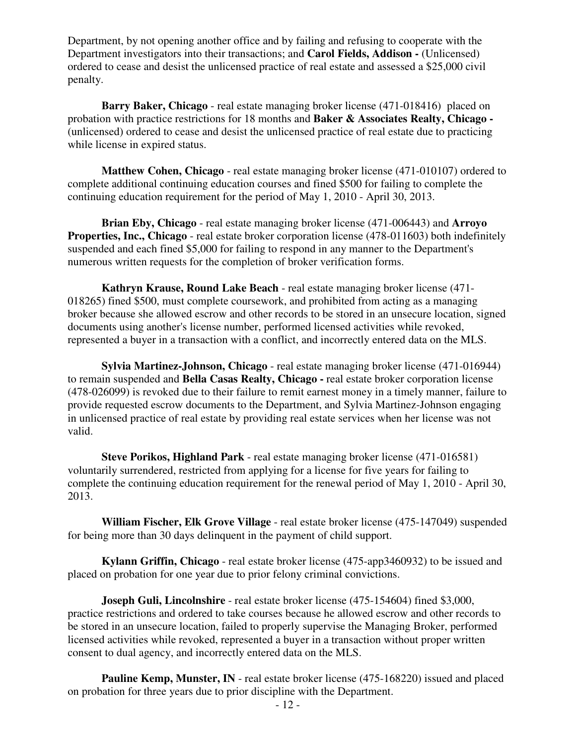Department, by not opening another office and by failing and refusing to cooperate with the Department investigators into their transactions; and **Carol Fields, Addison -** (Unlicensed) ordered to cease and desist the unlicensed practice of real estate and assessed a \$25,000 civil penalty.

**Barry Baker, Chicago** - real estate managing broker license (471-018416) placed on probation with practice restrictions for 18 months and **Baker & Associates Realty, Chicago -**  (unlicensed) ordered to cease and desist the unlicensed practice of real estate due to practicing while license in expired status.

**Matthew Cohen, Chicago** - real estate managing broker license (471-010107) ordered to complete additional continuing education courses and fined \$500 for failing to complete the continuing education requirement for the period of May 1, 2010 - April 30, 2013.

**Brian Eby, Chicago** - real estate managing broker license (471-006443) and **Arroyo Properties, Inc., Chicago** - real estate broker corporation license (478-011603) both indefinitely suspended and each fined \$5,000 for failing to respond in any manner to the Department's numerous written requests for the completion of broker verification forms.

**Kathryn Krause, Round Lake Beach** - real estate managing broker license (471- 018265) fined \$500, must complete coursework, and prohibited from acting as a managing broker because she allowed escrow and other records to be stored in an unsecure location, signed documents using another's license number, performed licensed activities while revoked, represented a buyer in a transaction with a conflict, and incorrectly entered data on the MLS.

**Sylvia Martinez-Johnson, Chicago** - real estate managing broker license (471-016944) to remain suspended and **Bella Casas Realty, Chicago -** real estate broker corporation license (478-026099) is revoked due to their failure to remit earnest money in a timely manner, failure to provide requested escrow documents to the Department, and Sylvia Martinez-Johnson engaging in unlicensed practice of real estate by providing real estate services when her license was not valid.

**Steve Porikos, Highland Park** - real estate managing broker license (471-016581) voluntarily surrendered, restricted from applying for a license for five years for failing to complete the continuing education requirement for the renewal period of May 1, 2010 - April 30, 2013.

**William Fischer, Elk Grove Village** - real estate broker license (475-147049) suspended for being more than 30 days delinquent in the payment of child support.

**Kylann Griffin, Chicago** - real estate broker license (475-app3460932) to be issued and placed on probation for one year due to prior felony criminal convictions.

**Joseph Guli, Lincolnshire** - real estate broker license (475-154604) fined \$3,000, practice restrictions and ordered to take courses because he allowed escrow and other records to be stored in an unsecure location, failed to properly supervise the Managing Broker, performed licensed activities while revoked, represented a buyer in a transaction without proper written consent to dual agency, and incorrectly entered data on the MLS.

**Pauline Kemp, Munster, IN** - real estate broker license (475-168220) issued and placed on probation for three years due to prior discipline with the Department.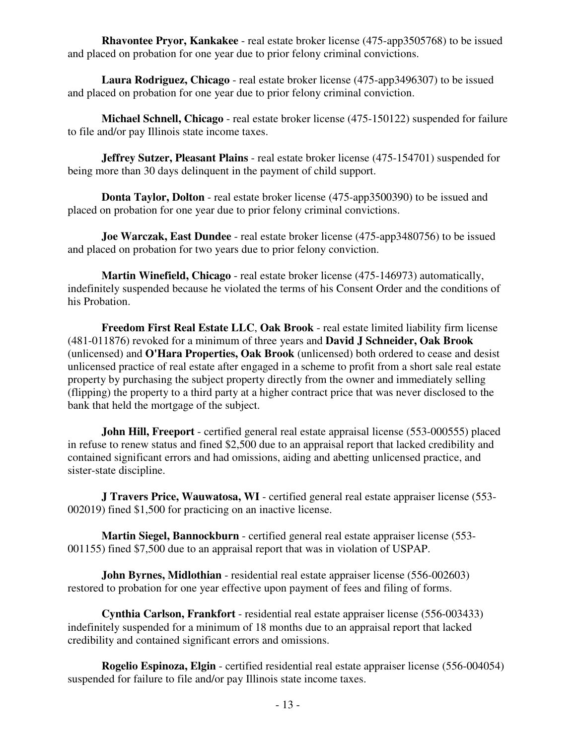**Rhavontee Pryor, Kankakee** - real estate broker license (475-app3505768) to be issued and placed on probation for one year due to prior felony criminal convictions.

**Laura Rodriguez, Chicago** - real estate broker license (475-app3496307) to be issued and placed on probation for one year due to prior felony criminal conviction.

**Michael Schnell, Chicago** - real estate broker license (475-150122) suspended for failure to file and/or pay Illinois state income taxes.

**Jeffrey Sutzer, Pleasant Plains** - real estate broker license (475-154701) suspended for being more than 30 days delinquent in the payment of child support.

**Donta Taylor, Dolton** - real estate broker license (475-app3500390) to be issued and placed on probation for one year due to prior felony criminal convictions.

**Joe Warczak, East Dundee** - real estate broker license (475-app3480756) to be issued and placed on probation for two years due to prior felony conviction.

**Martin Winefield, Chicago** - real estate broker license (475-146973) automatically, indefinitely suspended because he violated the terms of his Consent Order and the conditions of his Probation.

**Freedom First Real Estate LLC**, **Oak Brook** - real estate limited liability firm license (481-011876) revoked for a minimum of three years and **David J Schneider, Oak Brook** (unlicensed) and **O'Hara Properties, Oak Brook** (unlicensed) both ordered to cease and desist unlicensed practice of real estate after engaged in a scheme to profit from a short sale real estate property by purchasing the subject property directly from the owner and immediately selling (flipping) the property to a third party at a higher contract price that was never disclosed to the bank that held the mortgage of the subject.

**John Hill, Freeport** - certified general real estate appraisal license (553-000555) placed in refuse to renew status and fined \$2,500 due to an appraisal report that lacked credibility and contained significant errors and had omissions, aiding and abetting unlicensed practice, and sister-state discipline.

**J Travers Price, Wauwatosa, WI** - certified general real estate appraiser license (553- 002019) fined \$1,500 for practicing on an inactive license.

**Martin Siegel, Bannockburn** - certified general real estate appraiser license (553- 001155) fined \$7,500 due to an appraisal report that was in violation of USPAP.

**John Byrnes, Midlothian** - residential real estate appraiser license (556-002603) restored to probation for one year effective upon payment of fees and filing of forms.

**Cynthia Carlson, Frankfort** - residential real estate appraiser license (556-003433) indefinitely suspended for a minimum of 18 months due to an appraisal report that lacked credibility and contained significant errors and omissions.

**Rogelio Espinoza, Elgin** - certified residential real estate appraiser license (556-004054) suspended for failure to file and/or pay Illinois state income taxes.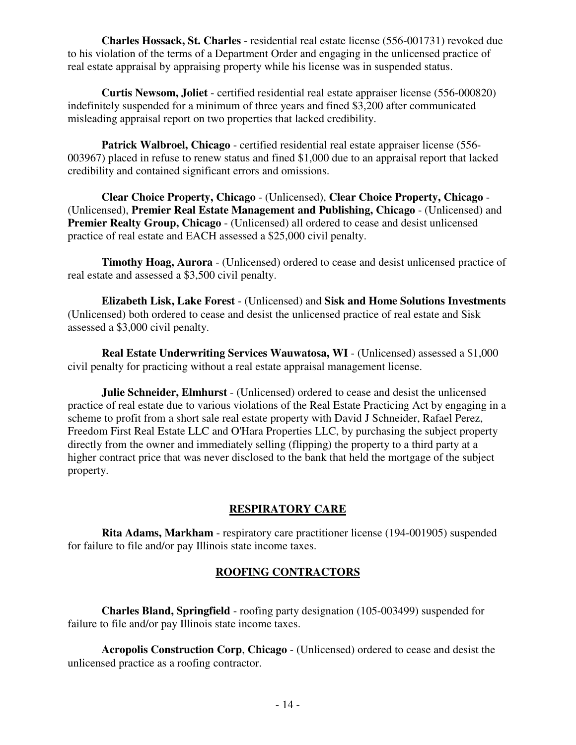**Charles Hossack, St. Charles** - residential real estate license (556-001731) revoked due to his violation of the terms of a Department Order and engaging in the unlicensed practice of real estate appraisal by appraising property while his license was in suspended status.

**Curtis Newsom, Joliet** - certified residential real estate appraiser license (556-000820) indefinitely suspended for a minimum of three years and fined \$3,200 after communicated misleading appraisal report on two properties that lacked credibility.

**Patrick Walbroel, Chicago** - certified residential real estate appraiser license (556- 003967) placed in refuse to renew status and fined \$1,000 due to an appraisal report that lacked credibility and contained significant errors and omissions.

**Clear Choice Property, Chicago** - (Unlicensed), **Clear Choice Property, Chicago** - (Unlicensed), **Premier Real Estate Management and Publishing, Chicago** - (Unlicensed) and **Premier Realty Group, Chicago** - (Unlicensed) all ordered to cease and desist unlicensed practice of real estate and EACH assessed a \$25,000 civil penalty.

**Timothy Hoag, Aurora** - (Unlicensed) ordered to cease and desist unlicensed practice of real estate and assessed a \$3,500 civil penalty.

**Elizabeth Lisk, Lake Forest** - (Unlicensed) and **Sisk and Home Solutions Investments** (Unlicensed) both ordered to cease and desist the unlicensed practice of real estate and Sisk assessed a \$3,000 civil penalty.

**Real Estate Underwriting Services Wauwatosa, WI** - (Unlicensed) assessed a \$1,000 civil penalty for practicing without a real estate appraisal management license.

**Julie Schneider, Elmhurst** - (Unlicensed) ordered to cease and desist the unlicensed practice of real estate due to various violations of the Real Estate Practicing Act by engaging in a scheme to profit from a short sale real estate property with David J Schneider, Rafael Perez, Freedom First Real Estate LLC and O'Hara Properties LLC, by purchasing the subject property directly from the owner and immediately selling (flipping) the property to a third party at a higher contract price that was never disclosed to the bank that held the mortgage of the subject property.

#### **RESPIRATORY CARE**

**Rita Adams, Markham** - respiratory care practitioner license (194-001905) suspended for failure to file and/or pay Illinois state income taxes.

# **ROOFING CONTRACTORS**

**Charles Bland, Springfield** - roofing party designation (105-003499) suspended for failure to file and/or pay Illinois state income taxes.

**Acropolis Construction Corp**, **Chicago** - (Unlicensed) ordered to cease and desist the unlicensed practice as a roofing contractor.